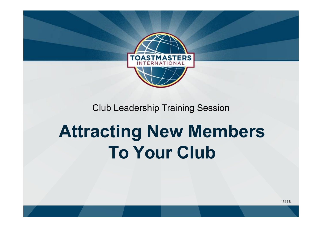

#### Club Leadership Training Session

# **Attracting New Members To Your Club**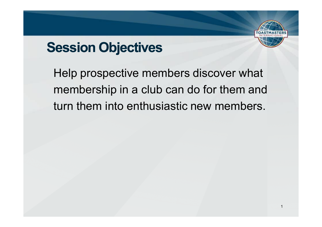### **Session Objectives**

Help prospective members discover what membership in a club can do for them and turn them into enthusiastic new members.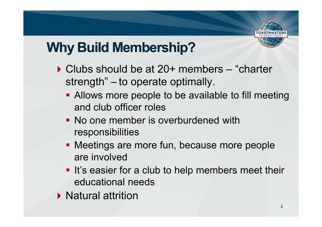

# **Why Build Membership?**

- ▶ Clubs should be at 20+ members "charter" strength" – to operate optimally.
	- **Allows more people to be available to fill meeting** and club officer roles
	- No one member is overburdened with responsibilities
	- **Meetings are more fun, because more people** are involved
	- **It's easier for a club to help members meet their** educational needs
- ▶ Natural attrition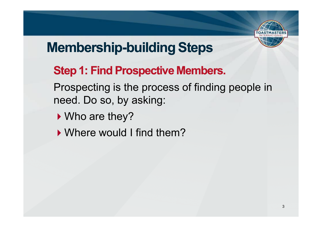

#### **Step 1: Find Prospective Members.**

Prospecting is the process of finding people in need. Do so, by asking:

- ▶ Who are they?
- ▶ Where would I find them?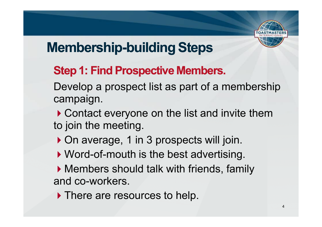

#### **Step 1: Find Prospective Members.**

Develop a prospect list as part of a membership campaign.

▶ Contact everyone on the list and invite them to join the meeting.

- ▶ On average, 1 in 3 prospects will join.
- ▶ Word-of-mouth is the best advertising.
- ▶ Members should talk with friends, family and co-workers.
- If There are resources to help.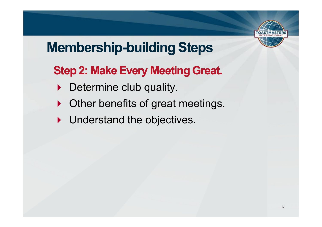

#### **Step 2: Make Every Meeting Great.**

- Determine club quality.
- ▶ Other benefits of great meetings.
- **Inderstand the objectives.**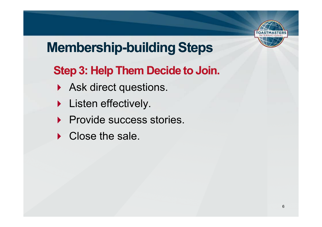

#### **Step 3: Help Them Decide to Join.**

- Ask direct questions.
- **Listen effectively.**
- **Provide success stories.**
- Close the sale.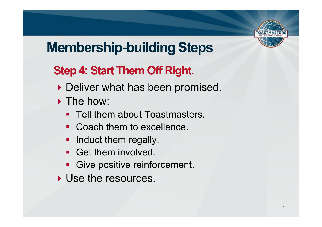

#### **Step 4: Start Them Off Right.**

- Deliver what has been promised.
- $\blacktriangleright$  The how:
	- **Tell them about Toastmasters.**
	- Coach them to excellence.
	- **Induct them regally.**
	- Get them involved.
	- **Give positive reinforcement.**
- Use the resources.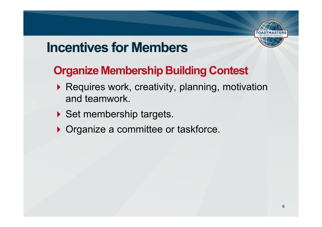

### **Incentives for Members**

#### **Organize Membership Building Contest**

- ▶ Requires work, creativity, planning, motivation and teamwork.
- Set membership targets.
- ▶ Organize a committee or taskforce.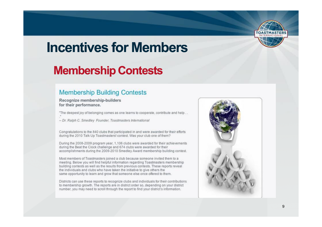

### **Incentives for Members**

#### **Membership Contests**

#### **Membership Building Contests**

#### Recognize membership-builders for their performance.

"The deepest joy of belonging comes as one learns to cooperate, contribute and help...

- Dr. Ralph C. Smedley Founder, Toastmasters International

Congratulations to the 840 clubs that participated in and were awarded for their efforts during the 2010 Talk Up Toastmasters! contest. Was your club one of them?

During the 2008-2009 program year, 1,106 clubs were awarded for their achievements during the Beat the Clock challenge and 674 clubs were awarded for their accomplishments during the 2009-2010 Smedley Award membership building contest.

Most members of Toastmasters joined a club because someone invited them to a meeting. Below you will find helpful information regarding Toastmasters membership building contests as well as the results from previous contests. These reports reveal the individuals and clubs who have taken the initiative to give others the same opportunity to learn and grow that someone else once offered to them.

Districts can use these reports to recognize clubs and individuals for their contributions to membership growth. The reports are in district order so, depending on your district number, you may need to scroll through the report to find your district's information.

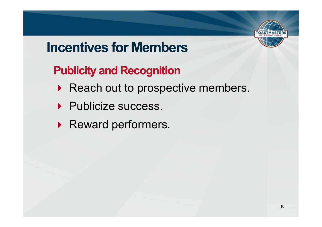

# **Incentives for Members**

#### **Publicity and Recognition**

- Reach out to prospective members.
- Publicize success.
- Reward performers.